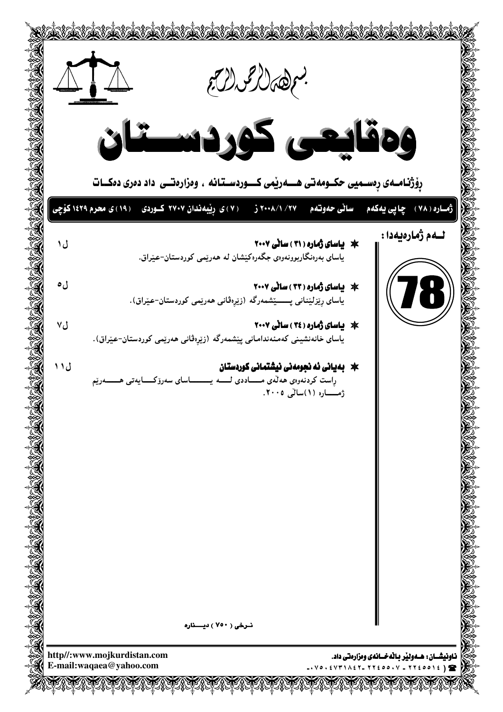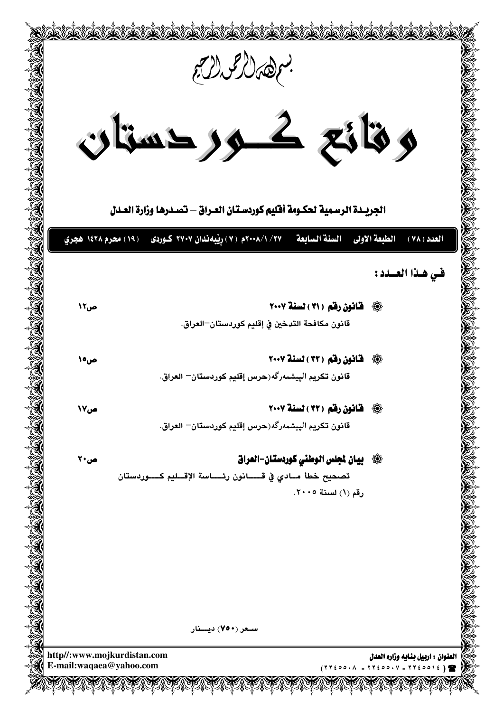|                                                                                           | بعرهمال عمالكر<br>وقائع كرردستان                                                          |                                                  |
|-------------------------------------------------------------------------------------------|-------------------------------------------------------------------------------------------|--------------------------------------------------|
|                                                                                           | الجريــدة الرسـمية لحكـومة أفليم كوردسـتـان العـراق — تصــدرهـا وزارة العــدل             |                                                  |
|                                                                                           | السنة السابعة      7٧/ ٨/١٠٨ه ( ٧ ) رِيْبِه ندان ٢٧٠٧ كـوردى     ( ١٩ ) محرم ١٤٢٨ هجري    | الطبعة الاولى<br>العدد ( ۷۸ )<br>في هذا العسدد : |
| ص1۲                                                                                       | 4 قانون رقم (٣١) لسنة ٢٠٠٧                                                                |                                                  |
|                                                                                           | قانون مكافحة التدخين في إقليم كوردستان–العراق.                                            |                                                  |
| ص0\                                                                                       | 4 هَانون رقم (٣٣) لسنة ٢٠٠٧                                                               |                                                  |
|                                                                                           | قانون تكريم الپيشمهرگه(حرس إقليم كوردستان– العراق.                                        |                                                  |
| ص۱۷                                                                                       | 43 قانون رقم (٣٣) لسنة ٢٠٠٧                                                               |                                                  |
|                                                                                           | قانون تكريم الپيشمەرگە(حرس إقليم كوردستان– العراق.                                        |                                                  |
| ص۲۰                                                                                       | ۞ _ بيان لجلس الوطني كوردستان−العراق                                                      |                                                  |
|                                                                                           | تصحيح خطأ مــادي في قــــــانون رئـــــاسة الإقـــليم كـــــوردستان<br>رقم (١) لسنة ٢٠٠٥. |                                                  |
|                                                                                           |                                                                                           |                                                  |
|                                                                                           | سـعر (۷۵۰) دیـــنار                                                                       |                                                  |
| http//:www.mojkurdistan.com<br>E-mail:waqaea@yahoo.com<br>$(77200.1 - 77200.1 - 7720012)$ |                                                                                           | العنوان : اربيل بنـايه وزاره العدل               |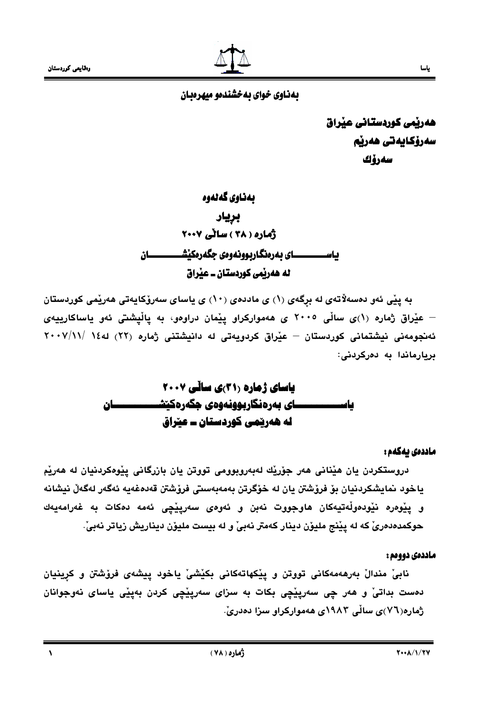

هەريمى كوردستانى عيراق سەرۆكايەتى ھەرپم سەرۆك

# بەناوي گەنەوە بريار أماره ( ٣٨ ) سائي ٢٠٠٧ ياســــــــــــای بهرهنگاربوونهوهی جگهرهکێشــــــــــــان له هەربّمى كوردستان ــ عبْراق

به پێی ئەو دەسەلاتەي لە برگەي (١) ي ماددەي (١٠) ي ياساي سەرۆكاپەتى ھەرپمى كوردستان – عێراق ژماره (۱)ی ساڵی ۲۰۰۵ ی هەموارکراو پێمان دراوەو، به پاڵیشتی ئەو یاساکارییەی ئەنجومەنى نيشتمانى كوردستان – عيْراق كردويەتى لە دانيشتنى ژمارە (٢٢) لە١٤ /٢٠٠٧/١١ بريارماندا به دەركردنى:

## ماددەى يەكەم :

دروستکردن يان هێنانی هەر جۆرێك لەبەروبوومی تووتن يان بازرگانی پێوەکردنيان له هەرێم ياخود نمايشكردنيان بۆ فرۆشتن يان لە خۆگرتن بەمەبەستى فرۆشتن قەدەغەيە ئەگەر لەگەلّ نيشانە و يێوەرە نێودەوڵەتيەكان ھاوجووت نەبن و ئەوەي سەرپێڃى ئەمە دەكات بە غەرامەيەك حوكمدەدەرىّ كه له يێنج مليۆن دينار كەمتر نەبىّ و له بيست مليۆن ديناريش زياتر نەبىّ.

#### ماددهی دوومم :

نابیٰ مندالْ بەرھەمەکانی تووتن و ییکھاتەکانی بکیشیْ یاخود ییشەی فرۆشتن و کرینیان دمست بداتيٰ و هەر چي سەريٽِچي بکات به سزاي سەريٽِچي کردن بەيٽِي ياساي نەوجوانان ژماره(۷٦)ی سالّی ۱۹۸۳ی ههموارکراو سزا دهدریّ.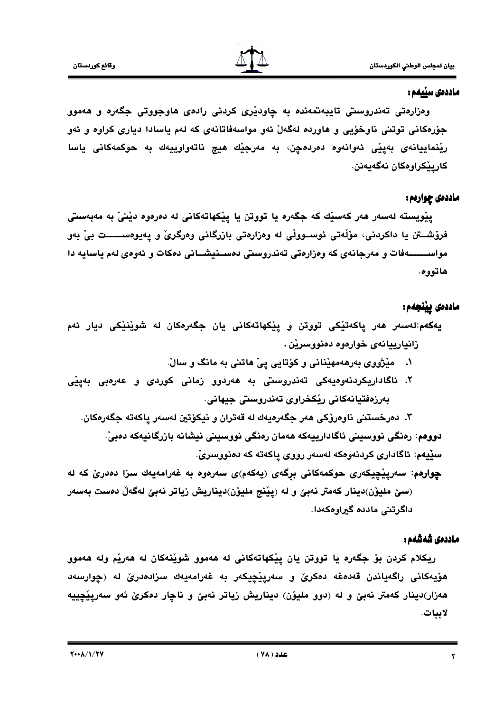

#### ماددەى سێيەم :

وهزارهتی تهندروستی تایبهتمهنده به چاودیری کردنی رادهی هاوجووتی جگهره و ههموو جۆرەكانى توتنى ناوخۆيى و ھاوردە لەگەلْ ئەو مواسەفاتانەي كە لەم ياسادا ديارى كراوە و ئەو ريْنماييانەي بەينى ئەوانەوە دەردەچن، بە مەرجێك ھيچ ناتەواوييەك بە حوكمەكانى ياسا كاريٽكراومكان نەگەيەنن.

## ماددهۍ چوارهم :

يێويسته لەسەر ھەر كەسێك كە جگەرە يا تووتن يا يێكهاتەكانى لە دەرەوە دێنى بە مەبەستى فرۆشــتن يا داكردنى، مۆڵەتى ئوســووڵى لە وەزارەتى بازرگانى وەرگرىّ و يەيوەســـــت بىّ بەو مواســـــــــهفات و مەرجانەي كە وەزارەتى تەندروستى دەســنيشـــانى دەكات و ئەوەي لەم ياسايە دا هاتووه.

# ماددەى يينجەم:

- **يەكەم**:لەسەر ھەر پاكەتێكى تووتن و پێكھاتەكانى يان جگەرەكان لە شوێنێكى ديار ئەم زانيارييانەي خوارەوە دەنووسرێن .
	- ۱. میژووی بهرههمهیّنانی و کوّتایی پیّ هاتنی به مانگ و سالّ.
- ۲. ئاگاداريكردنەوەيەكى تەندروسىتى بە ھەردوو زمانى كوردى و عەرەبى بەينى بەرزەفتيانەكانى ريكخراوى تەندروستى جيھانى.

۳. دەرخستنى ناوەرۆكى ھەر جگەرەيەك لە قەتران و نيكۆتين لەسەر ياكەتە جگەرەكان. دووهم: رەنگى نووسينى ئاگادارييەكە ھەمان رەنگى نووسينى نيشانە بازرگانيەكە دەبىّ. سييەم: ئاگادارى كردنەوەكە لەسەر رووي ياكەتە كە دەنووسرىّ.

چوارهم: سەريێچيکەرى حوکمەکانى برگەی (پەکەم)ى سەرەوە بە غەرامەيەك سزا دەدرىٰ کە لە (سێ مليۆن)دينار كەمتر نەبێ و لە (يێنج مليۆن)ديناريش زياتر نەبێ لەگەڵ دەست بەسەر داگرتنی مادده گیراوهکهدا.

## ماددەى شەشەم :

ريکلام کردن بۆ جگەرە يا تووتن يان يێکهاتەکانى لە ھەموو شوێنەکان لە ھەرێم ولە ھەموو هۆيەكانى راگەياندن قەدەغە دەكرىّ و سەريێچيكەر بە غەرامەيەك سزادەدرىّ لە (چوارسەد هەزار)دينار كەمتر نەبێ و لە (دوو مليۆن) ديناريش زياتر نەبێ و ناڃار دەكرێ ئەو سەريێڃييە لاببات.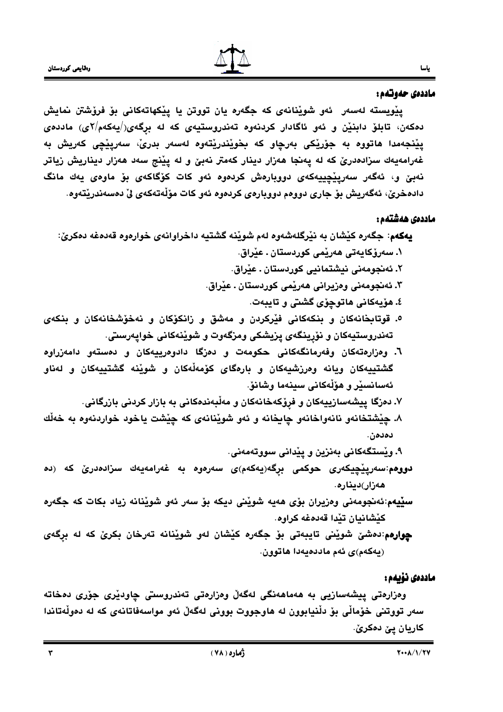#### ماددەى حەوتەم:

ياسا

پێویسته لهسهر ئهو شوێنانهی که جگهره یان تووتن یا پێکهاتهکانی بۆ فرۆشتن نمایش دهکەن، تابلۆ دابنێن و ئەو ئاگادار کردنەوە تەندروستيەي کە لە برگەي $\langle \rangle$ يەکەم $\langle \mathsf{Y}_\mathsf{e}$ ى) ماددەي يێنجەمدا ھاتووە بە جۆرێکى بەرچاو کە بخوێندرێتەوە لەسەر بدریؒ، سەرپێچى کەرپش بە غەرامەيەك سزادەدرێ كە لە پەنجا ھەزار دينار كەمتر نەبێ و لە پێنج سەد ھەزار ديناريش زياتر نەبىّ و، ئەگەر سەرپێچيپەكەي دووبارەش كردەوە ئەو كات كۆگاكەي بۆ ماوەي يەك مانگ دادەخرێ، ئەگەريش بۆ جارى دووەم دووبارەي كردەوە ئەو كات مۆڵەتەكەي لىْ دەسەندرێتەوە.

#### ماددهى هەشتەھ :

#### ماددەى نۆىمە:

وەزارەتى پيشەسازيى بە ھەماھەنگى لەگەلْ وەزارەتى تەندروسىتى چاودێرى جۆرى دەخاتە سەر تووتنى خۆمالى بۆ دلْنيابوون لە ھاوجووت بوونى لەگەلْ ئەو مواسەفاتانەي كە لە دەولْەتاندا کاريان يێ دەكرێ.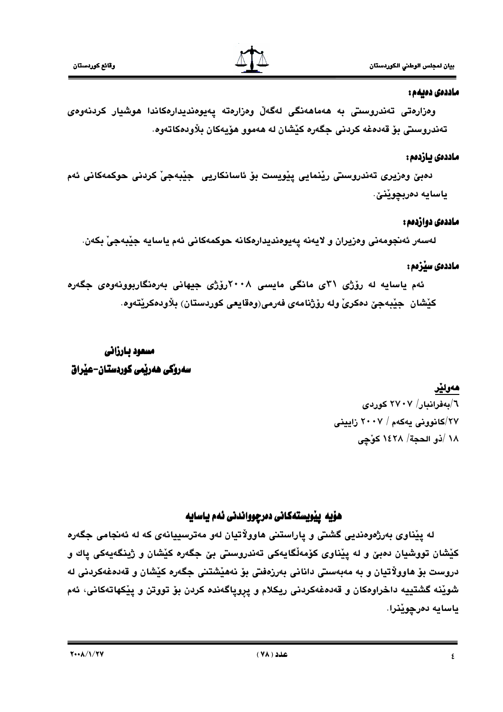#### ماددەى دەبەم :

وەزارەتى تەندروسىتى بە ھەماھەنگى لەگەلْ وەزارەتە يەيوەنديدارەكاندا ھوشيار كردنەوەي تەندروستى بۆ قەدەغە كردنى جگەرە كێشان لە ھەموو ھۆپەكان بلاودەكاتەوە.

#### ماددەى بازدەم :

دەبێ وەزيرى تەندروسىتى رێنمايى يێويست بۆ ئاسانكاريى جێبەجىٚ كردنى حوكمەكانى ئەم ياسايه دەربچوێنێ.

## ماددهي دوازدهم :

لەسەر ئەنجومەنى وەزيران و لايەنە يەيوەنديدارەكانە حوكمەكانى ئەم ياسايە جێبەجى بكەن.

# ماددهی سپُرْمم :

ئهم یاسایه له رۆژی ۳۱ی مانگی مایسی ۲۰۰۸رۆژی جیهانی بەرەنگاربوونەوەی جگەرە کێشان ۖ جێبەجێ دەکریٚ ولە رۆژنامەی فەرمی(وەقايعى کوردستان) بلاودەکرێتەوە.

# مسعود بارزاني سەروكى ھەربمى كوردستان-عبراق

# هەولێر

٦/بەفرانبار/ ٢٧٠٧ كوردى ۲۷/کانوونی بهکهم / ۲۰۰۷ زایینی 1٨ /ذو الحجة/ ١٤٢٨ كوَّجِي

# هۆيە يێويستەكانى دەرچوواندنى ئەم ياسايە

له پێناوي بەرژەوەندیی گشتی و پاراستنی هاوولاتیان لەو مەترسییانەی كە لە ئەنجامی جگەرە کێشان تووشیان دەبێ و له پێناوي کۆمەڵگاپەکی تەندروستی بێ جگەرە کێشان و ژینگەپەکی پاك و دروست بۆ ھاوولاتيان و به مەبەستى دانانى بەرزەفتى بۆ نەھێشتنى جگەرە كێشان و قەدەغەكردنى لە شويْنه گشتييه داخراوهكان و قەدەغەكردنى ريكلام و پروپاگەندە كردن بۆ تووتن و پيْكهاتەكانى، ئەم ياسايه دەرچوێنرا.

 $Y \cdot A/\sqrt{Y}$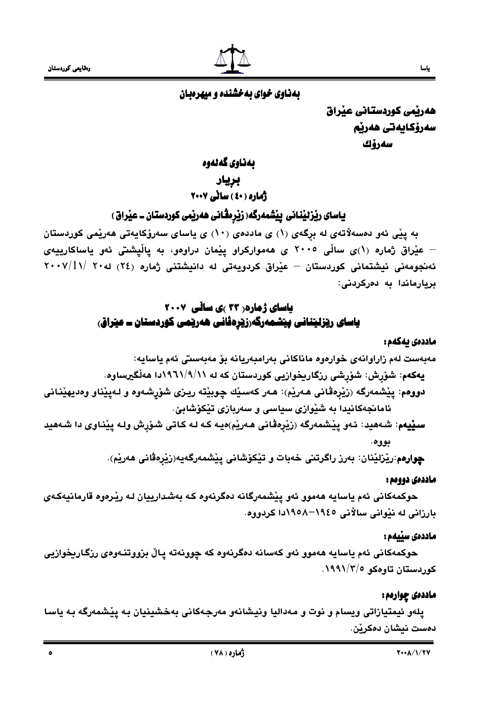$\bullet$ 



هەريمى كوردستانى عيراق سەرۆكايەتى ھەرپە سەرۆك

ياسا

بەناوى گەلەوە

بريار

.<br>ژماره ( ٤٠ ) ساٽي ٢٠٠٧

# یاسای ریزئینانی پیشمەرگە( زیرمڤانی ھەرپمی کوردستان ــ عیراق )

به پێی ئەو دەسەلاتەي لە برگەي (١) ي ماددەي (١٠) ي ياساي سەرۆكايەتى ھەرێمى كوردستان – عێراق ژماره (۱)ی ساڵی ۲۰۰۵ ی ههموارکراو پێمان دراوهو، به پاڵپشتی ئهو یاساکارییهی ئەنجومەنى نيشتمانى كوردستان – عيْراق كردويەتى لە دانيشتنى ژمارە (٢٤) لە٢٠ /١١/ ٢٠٠٧ بربارماندا به دەركردنى:

# **یاسای ژماره( ۲۳ )ی سالّی ۲۰۰۷** یاسای ریزلیننانی پیشمەرگەرزیردڤانی ھەریمی کوردستان ــ عیراق،

#### ماددەى يەكەم :

سیپیم: شـههید: ئـهو پیشمـهرگه (زیرهقانی هـهریم)هیـه کـه لـه کـاتی شـۆرش ولـه پینـاوی دا شـههید بووه.

**چوارەم:رێزلێنان: بەرز راگرتنى خەبات و تێكۆشانى يێشمەرگەيە(زێرەڤانى ھەرێم**).

## ماددەى دوومم :

حوکمهکانی ئهم یاسایه ههموو ئهو پێشمهرگانه دهگرنهوه کـه بهشدارییان لـه رێرهوه قارمانیهکـهی بارزاني له نٽواني سالاني ١٩٤٥–١٩٥٨دا ڪردووه.

## ماددەى سێيەم :

حوکمهکانی ئهم ياسايه ههموو ئهو کهسانه دهگرنهوه که چوونهته پاڵ بزووتنـهوهی رزگـاريخوازيی کوردستان تاوهکو ۱۹۹۱/۲/۰

# ماددەى چوارەم :

پلەو ئيمتيازاتى ويسام و نوت و مەداليا ونيشانەو مەرجەكانى بەخشينيان بە پێشمەرگە بە ياسا دەست نېشان دەكرێن.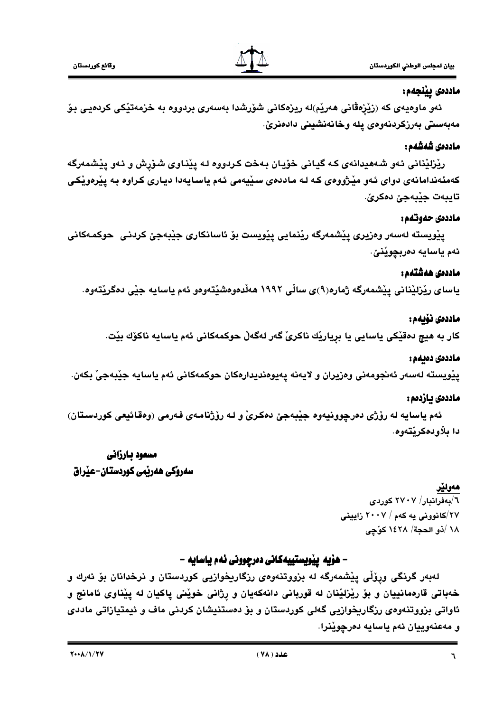

بيان لمجلس الوطني الكوردستان

# ماددەى يينجەم:

ئەو ماوەيەي كە (زێزەڤانى ھەرێم)لە ريزەكانى شۆرشدا بەسەرى بردووە بە خزمەتێكى كردەيى بۆ مەبەستى بەرزكردنەوەي يلە وخانەنشىنى دادەنرىٰ.

#### ماددەى شەشەھ :

ريْزليْنانى ئەو شەھيدانەى كە گيانى خۆيان بەخت كردووه لـه پيْناوى شۆرش و ئـەو پيْشمەرگە کهمئهندامانهی دوای ئهو میْژووهی که له ماددهی سیّیهمی ئهم یاسایهدا دیاری کراوه به پیّرهویّکی تايبەت جێبەجێ دەكرێ.

## ماددەى جەەتتەم :

يێويسته لەسەر وەزيرى يێشمەرگە رێنمايي يێويست بۆ ئاسانكارى جێبەجێ كردنى حوكمەكانى ئەم ياسايە دەربچوێنێ.

## ماددەى ھەشتەم :

ياساي ريْزليْناني يِيْشمەرگە ژمارە(٩)ي سالّي ١٩٩٢ هەڵدەوەشيْتەوەو ئەم ياسايە جِيْي دەگريْتەوە.

# ماددەى نۆىمە:

كار به هيچ دەقێكى ياسايى يا بريارێك ناكرىٚ گەر لەگەلْ حوكمەكانى ئەم ياسايە ناكۆك بێت.

## ماددەى دەبەم :

يێويسته لەسەر ئەنجومەنى وەزيران و لايەنە يەيوەنديدارەكان حوكمەكانى ئەم ياسايە جێبەجىٚ بكەن.

## ماددەى يازدەم :

ئهم ياسايه له رۆژى دەرچوونيەوە جێبەجێ دەكرىّ و لـه رۆژنامـەي فـەرمى (وەقـائيعى كوردسـتان) دا دلاو دەكر ئتەوھ.

# مسعود بارزاني سەروكى ھەرتمى كوردستان-عنراق

# هەولێر

٦/بەفرانبار/ ٢٧٠٧ كۈردى ۲۷/کانوونی په کهم / ۲۰۰۷ زایینی ١٨ /ذو الحجة/ ١٤٢٨ كوّجى

# – هۆيە ييويستييەكانى دەرجوونى ئەم ياسايە –

لهبهر گرنگی ورِوْلّی پِیْشمەرگە لە بزووتنەوەی رزگاریخوازیی کوردستان و نرخدانان بۆ ئەرك و خەباتى قارەمانييان و بۆ رێزلێنان لە قوربانى دانەكەيان و رژانى خوێنى ياكيان لە يێناوى ئامانج و ئاواتی بزووتنهوهی رزگاریخوازیی گهلی کوردستان و بۆ دەستنیشان کردنی ماف و ئیمتیازاتی ماددی و مەعنەوييان ئەم ياسايە دەرچوێنرا.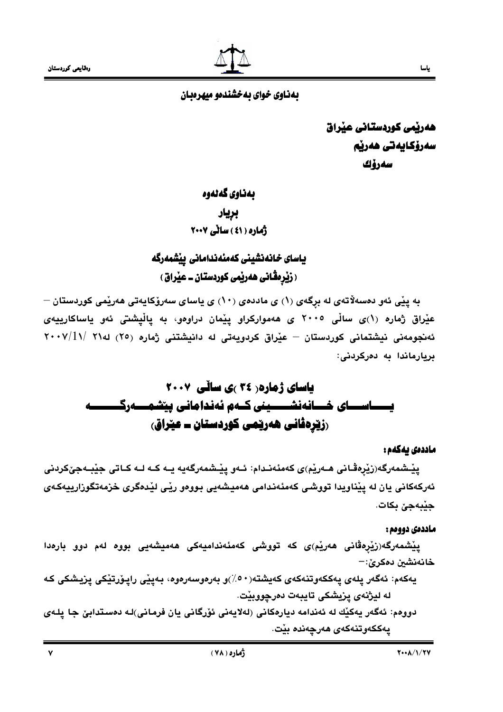

# بهذاوي خواي به خشندهو ميهرهبان

هەرپمى كوردستانى عيراق سەرۆكايەتى ھەرپە سەرۆك

# بەناوي گەنەوە

بريار ژماره ( ٤١ ) ساٽي ٢٠٠٧

# ياساى خانەنشينى كەمئەندامانى ييشمەرگە ( زَيْرِ مِقَانى هەرپْمى كوردستان ــ عيْراق )

به پێی ئەو دەسەلاتەی لە بړگەی (۱) ی ماددەی (۱۰) ی ياسای سەرۆكايەتی ھەرێمی كوردستان – عیْراق ژماره (۱)ی سالْی ۲۰۰۵ ی هەموارکراو ییْمان دراوەو، به یالْیشتی ئەو یاساکارییەی ئەنجومەنى نيشتمانى كوردستان – عيْراق كردويەتى لە دانيشتنى ژمارە (٢٥) لە٢١ /٢٠٠٧ /٢ بريارماندا به دەركردنى:

# **یاسای ژماره ( ۲۶ )ی سائی ۲۰۰۷** یـــــاســـای خـــانەنشـــــینی کــەم ئەندامانی پی٘شمـــەرگــ <u>(زی</u>رِدڤانی هەریمی کوردستان ــ عیراق)

#### ماددەى يەكەم :

يٽِـشمەرگە(زێرەڤـانى ھـەرێم)ى كەمئەنـدام: ئـەو يێـشمەرگەپە پـە كـە لـە كـاتى جێبـەجێكردنى ئەركەكانى يان لە يێناويدا تووشى كەمئەندامى ھەميشەيى بووەو رێى لێدەگرى خزمەتگوزارييەكەي جێبەجێ بکات.

#### ماددەى دووەم :

یپْشمەرگە(زیْرەڤانی ھەریْم)ی کە تووشی کەمئەندامیەکی ھەمیشەیی بووە لەم دوو بارەدا خانەنشين دەكرێ:–

- يەكەم: ئەگەر پلەي پەككەوتنەكەي كەيشتە $\langle \cdot \circ \rangle$ و بەرەوسەرەوە، بـەپێى راپـۆرتێكى پزيـشكى كـە له ليژنهي يزيشكي تايبهت دهرچووبيْت.
- دووهم: ئەگەر يەكێك لە ئەندامە ديارەكانى (لەلايەنى ئۆرگانى يان فرمانى)لـە دەستدابىّ جا يلـەي يەككەوتنەكەي ھەرچەندە بێت.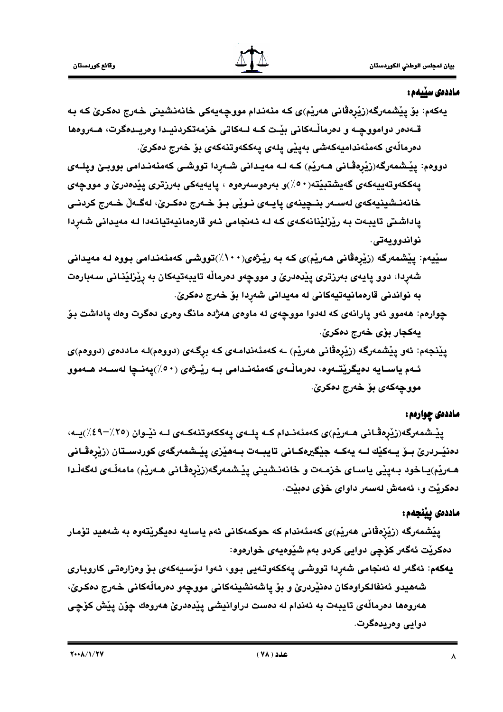#### ماددەى سێيەم :

- يەكەم: بۆ يێشمەرگە(زێرەڤانى ھەرێم)ى كـە مئەندام مووچەيەكى خانەنشينى خـەرج دەكـرىّ كـە بـە قـهدمر دوامووڃـه و دمرماڵـهكانى بيّـت كـه لـهكاتى خزمهتكردنيـدا ومريـدمگرت، هــهرومها دەرماڵەي كەمئەنداميەكەشى بەييى يلەي يەككەوتنەكەي بۆ خەرج دەكرىّ.
- دووهم: ییشمهرگه(زیرهڤانی هـهریم) کـه لـه مهیـدانی شـهردا تووشـی کهمئهنـدامی بووبـێ ویلـهی يەككەوتەييەكەي گەيشتېيتە $(0 \cdot)$ و بەرەوسەرەوە ، يايەيەكى بەرزترى ييدەدرى و مووجەي خانەنـشينيەكەي لەسـەر بنـڃينەي يايـەي نـوێي بـۆ خـەرج دەكـرێ، لەگـەڵ خـەرج كردنـي پاداشتی تايبەت بە رێزلێنانەكەی كە لە ئەنجامی ئەو قارەمانيەتيانەدا لە مەيدانى شەردا نواندوويەتى.
- سێیهم: پێشمەرگە (زێڕەڤانی ھەرێم)ی کە بە رێژ*ەی(۱۰۰٪)*تووشی کەمئەندامی بووە لە مەيدانی شەردا، دوو پايەى بەرزترى پێدەدرێ و مووچەو دەرماڵە تايبەتيەكان بە رێزلێنانى سەبارەت به نواندنی قارهمانیهتیهکانی له مهیدانی شهردا بۆ خەرج دەكرێ.
- چوارهم: ههموو ئهو پارانهي كه لهدوا مووچهي له ماوهي ههژده مانگ وهري دهگرت وهك پاداشت بـوّ يەكجار بۆي خەرج دەكرىّ.
- یپْنجهم: ئەو یپْشمەرگە (زِیْرەڤانی ھەرپْم) ـە كەمئەندامەی كـە برگـەی (دووەم)لـە ماددەی (دووەم)ی ئـهم ياسـايه دەيگرێتـهوه، دەرماڵـهى كەمئەنـدامى بـه رێـژەى (٥٠٪)يەنـڃا لەسـەد ھـﻪموو مووجهکهي بو خهرج دهکري.

## ماددهی چواردم :

يِيْـشمەرگە(زِيْرەڤـانى ھـەریْم)ى كەمئەنـدام كــە پلــەي پەككەوتنەكــەي لــە نیْـوان (٢٥٪–٤٩٪)يــە، دەنێـردرێ بــۆ يــەكێك لــه يەكــە جێڲيرەكــانى تايبــەت بــەھێزى پێـشمەرگەي كوردســتان (زێرەڤـانى هـەرێم)پـاخود بـەيێى ياسـاى خزمـەت و خانەنـشينى يێـشمەرگە(زێرەڤـانى هـەرێم) مامەڵـەي لەگەڵـدا دەكريْت و، ئەمەش لەسەر داواي خۆي دەبيّت.

## ماددەى يېنجەم:

پێشمەرگە (زێزەڤانى ھەرێم)ى كەمئەندام كە حوكمەكانى ئەم ياسايە دەيگرێتەوە بە شەھيد تۆمار دهکريْت ئەگەر كۆچى دوايى كردو بەم شَيْوەيەي خوارەوە:

يەكەم: ئەگەر لە ئەنجامى شەردا تووشى يەككەوتەيى بوو، ئەوا دۆسيەكەي بۆ وەزارەتى كاروبارى شەھيدو ئەنفالكراوەكان دەنێردرێ و بۆ ياشەنشينەكانى مووچەو دەرماڵەكانى خەرج دەكرێ، هەروەھا دەرماڵەي تايبەت بە ئەندام لە دەست دراوانيشى يێدەدرێ ھەروەك چۆن يێش كۆچى دوابي وەربدەگرت.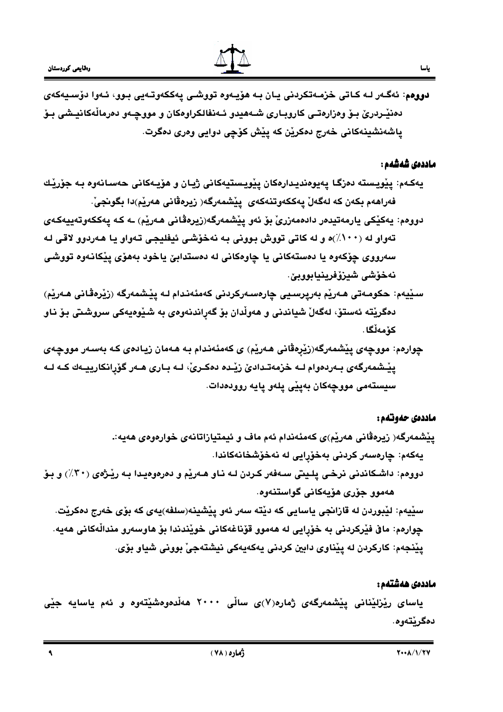

دووهم: ئەگـەر لـﻪ كـﺎﺗـﻰ ﺧﺰﻣـﻪﺗﻜﺮﺩﻧـﻰ ﻳـﺎﻥ ﺑـﻪ ﻫﯚﻳـﻪﻭﻩ ﺗﻮﻭﺷـﻰ ﻳﻪﻛﻜﻪﻭﺗـﻪﻳﻰ ﺑـﻮﻭ، ﺋـﻪﻭﺍ ﺩﯙﺳـﻴﻪﻛﻪﻱ دەنێىردرێ بىۆ وەزارەتـى كاروبـارى شـەھيدو ئـەنفالكراوەكان و مووچـەو دەرمالْەكانيىشى بـۆ ياشەنشينەكانى خەرج دەكرين كە ييش كۆچى دوايى وەرى دەگرت.

#### ماددەى شەشەم :

- يەكـەم: يێويـستە دەزگـا يەيوەنديـدارەكان يێويـستيەكانى ژيـان و ھۆيـەكانى حەسـانەوە بـە جۆرێك فەراھەم بكەن كە لەگەلْ يەككەوتنەكەي يێشمەرگە( زيرەڤانى ھەرێم)دا بگونجىْ.
- دوومم: يەكێكى يارمەتيدەر دادەمەزرىٰ بۆ ئەو يێشمەرگە(زيرەڤانى ھەرێم) ـە كـە يەككەوتەييەكـەي تهواو له (۱۰۰٪)ه و له کاتي تووش بووني به نهخوشي ئيفليجي تهواو يا ههردوو لاقي له سەرووي چۆكەوە يا دەستەكانى يا چاوەكانى لە دەستدابىّ ياخود بەھۆي يێكانـەوە تووشى نەخۆشى شيزۆفرينيابووبێ.
- سێيەم: حکومەتى ھەرێم بەرپرسىيى چارەسەركردنى كەمئەندام لـە يێشمەرگە (زێرەڤانى ھەرێم) دەگريتە ئەستۆ، لەگەلْ شياندنى و ھەولْدان بۆ گەراندنەوەي بە شىيوەيەكى سروشتى بۆ ناو كۆمەڵگا.
- چوارەم: مووچەي پێشمەرگە(زێرەڤانى ھەرێم) ي كەمئەندام بە ھەمان زيادەي كە بەسەر مووچەي يێـشمهرگهی بـهردهوام لــه خزمهتـدادیٚ زیْـده دهکـریٰ، لــه بـاری هــهر گۆرِانکارييــهك کــه لــه سيستەمى مووچەكان بەپێى پلەو پايە روودەدات.

#### ماددەى حەوتەم :

- ییْشمەرگە( زیرەڤانی ھەریْم)ی کەمئەندام ئەم ماف و ئیمتیازاتانەی خوارەوەی ھەيە:. يەكەم: چارەسەر كردنى بەخۆرايى لە نەخۆشخانەكاندا.
- دووهم: داشـکاندنی نرخـی پلـیتی سـهفهر کـردن لـه نـاو هـهریم و دمرهوهیـدا بـه ریـْژهی (۳۰٪) و بـوّ هەموو جۆرى هۆيەكانى گواستنەوه.
	- سێيەم: لێبوردن له قازانجي ياسايي كه دێته سەر ئەو پێشينە(سلفه)يەي كە بۆي خەرج دەكرێت. چوارهم: ماڨ فێرکردنی به خوّرایی له ههموو قوّناغهکانی خوێندندا بوّ هاوسهرو مندالْهکانی ههیه. يێنجهم: کارکردن له يێناوي دابين کردني پهکهپهکي نيشتهجيٰ بووني شياو بوي.

#### ماددەى ھەشتەم :

یاسای ری٘زلیٚنانی ییٚشمەرگەی ژمارە(۷)ی سالْی ۲۰۰۰ هەلْدەوەشیٚتەوە و ئەم یاسایە جیٚی دەگرنتەوە.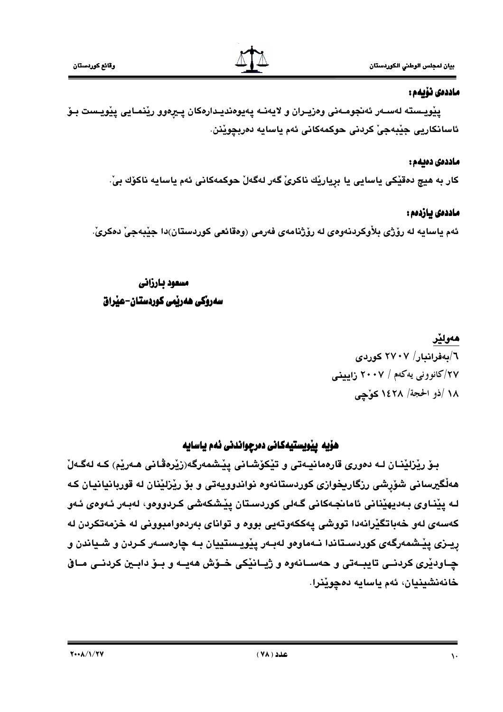## ماددەى نۆبەم :

پێویـسته لهسـهر ئهنجومـهنى وهزیـران و لایهنـه پهیوهندیـدارهكان پـیرهوو رێنمـایى پێویـست بـوّ ئاسانكاريي جِيْبِهجِيْ كردني حوكمهكاني ئهم ياسايه دەربچويْنن.

## ماددەى دەيەم :

كار به هيچ دەقێكى ياسايى يا بڕيارێك ناكرىٚ گەر لەگەلْ حوكمەكانى ئەم ياسايە ناكۆك بىْ

# ماددەى يازدەم :

ئهم ياسايه له رۆژي بلاْوكردنەوەي له رۆژنامەي فەرمى (وەقائعى كوردستان)دا جێبەجىٚ دەكرىٰ ـ

# مسعود بارزاني سەروكى ھەربمى كوردستان-عبراق

# هەولێر

٦/بەفرانبار/ ٢٧٠٧ كوردى ۲۷/کانوونی په کهم / ۲۰۰۷ زابینی ١٨ /ذو الحجة/ ١٤٢٨ كوَّجي

# هۆيە يێويستيەكانى دەرجواندنى ئەم ياسايە

بـۆ رێزلێنـان لـه دەورى قارەمانيـەتى و تێكۆشـانى يێـشمەرگە(زێرەڤانى ھـەرێم) كـه لەگـەلٚ هەڵگیرسانی شۆرشی رزگاریخوازی کوردستانەوه نواندوویەتی و بۆ رێزلێنان له قوربانیانیان که لـه يێنـاوي بـهديهێناني ئامانجـهکاني گـهلي کوردسـتان يێشکهشي کـردوومو، لهبـهر ئـهومي ئـهو كەسەي لەو خەباتگێرانەدا تووشى يەككەوتەيى بووە و تواناي بەردەوامبوونى لە خزمەتكردن لە ريــزي پيْـشمەرگەي كوردسـتاندا نــەماوەو لەبــەر پيْويــستييان بــە چارەســەر كــردن و شــياندن و چـاودێری کردنــی تایبــهتی و حهســانهوه و ژیــانێکی خــو٘ش ههیــه و بــوّ دابــین کردنــی مــاق خانەنشينيان، ئەم ياسايە دەچوێنرا.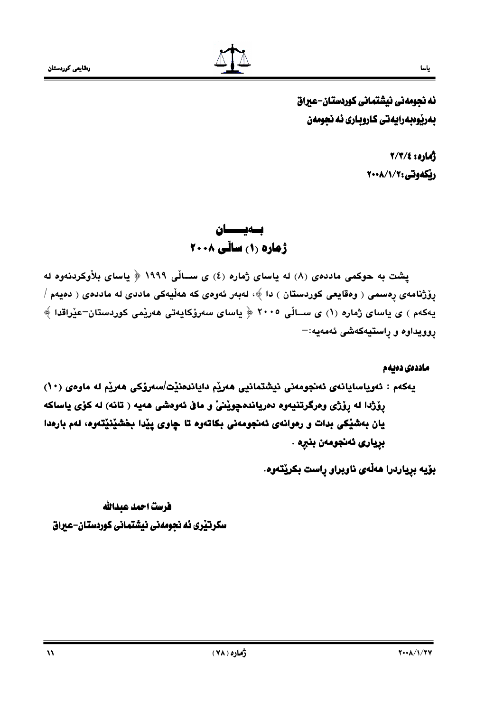

ئه نجومهني نيشتماني كوردستان-عيراق بەرپوەبەرايەتى كاروبارى ئە نجومەن

> أماره: ٢/٣/٤ ريكەوتى:٧٠١/١/٢٠٠٨

بسەيسسان ژهاره (۱) ساڵی ۲۰۰۸

پشت به حوکمی ماددهی (۸) له یاسای ژماره (٤) ی ســالّی ۱۹۹۹ ﴿ یاسای بلاّوکردنهوه له پۆژنامەي پەسمى ( وەقايعى كوردستان ) دا ﴾، لەبەر ئەوەي كە ھەڵيەكى ماددى لە ماددەي ( دەيەم / يەكەم ) ي ياساي ژمارە (١) ي ســالْي ٢٠٠٥ ﴿ ياساي سەرۆكايەتى ھەرێمى كوردستان–عێراقدا ﴾ روويداوه و راستيەكەشى ئەمەيە:−

ماددەى دەىمم يەكەم : ئەرياسايانەي ئەنجومەنى نيشتمانيى ھەريم داياندەنيْت/سەرۆكى ھەريم لە ماوەي (١٠) رۆژدا له رۆژی ومرگرتنیەوه دەریاندەچوینیّ و ماق ئەوەشى ھەپە ( تانە) لە كۆی ياساكە يان بهشيْكي بدات و رەوانەي ئەنجومەنى بكاتەوە تا چاوى ييْدا بخشيْنيْتەوە، لەم بارەدا بريارى ئەنجومەن بنبرە .

بۆيە بړياردرا ھەڵەي ناوبراو ړاست بكرێتەوە.

فرست احمد عبدالله سکرتیری نه نجومهنی نیشتمانی کوردستان-عیراق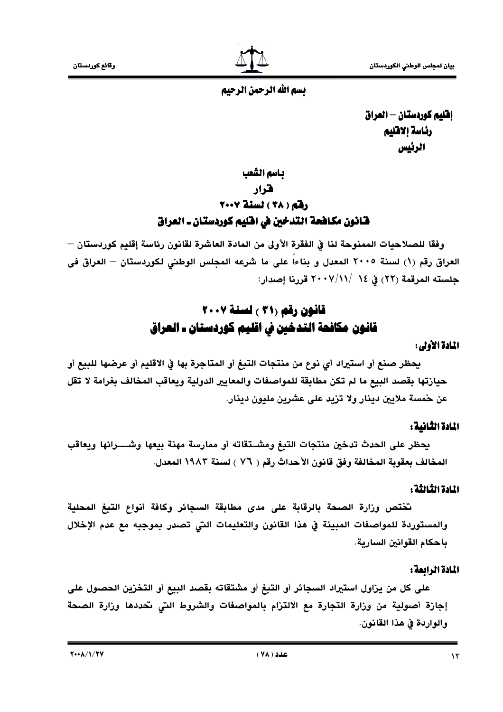# يسم الله الرحمن الرحيم

افليم كوردستان – العراق رئاسة إلاقليم الرئيس

باسم الشعب

# هرار

# رفقه (٣٨) نسنة ٢٠٠٧ قـانون مكـافحة التدخين في افليم كوردستـان ـ العراق

وفقًا للصلاحيات الممنوحة لنا في الفقرة الأولى من المادة العاشرة لقانون رئاسة إقليم كوردستان — العراق رقم (١) لسنة ٢٠٠٥ المعدل و بناءاً على ما شرعه المجلس الوطني لكوردستان — العراق في حلسته المرقمة (٢٢) في ١٤ /٧/١٧- ٢٠ قررنا إصدار:

# قانون رقم (٣١ ) لسنة ٢٠٠٧ قانون مكافحة التدخين في اقليم كوردستان ـ العراق

## المادة الأولى:

يحظر صنع أو استيراد أي نوع من منتجات التبغ أو المتاجرة بها في الاقليم أو عرضها للبيع أو حيازتها بقصد البيع ما لم تكن مطابقة للمواصفات والمعايير الدولية ويعاقب المخالف بغرامة لا تقل عن حمسة ملايين دينار ولا تزيد على عشرين مليون دينار.

# المادة الثانية:

يحظر على الحدث تدخين منتجات التبغ ومشــتقاته أو ممارسة مهنة بيعها وشــــرائها ويعاقب المخالف بعقوبة المخالفة وفق قانون الأحداث رقم ( ٧٦ ) لسنة ١٩٨٣ المعدل.

## المادة الثالثة :

تختص وزارة الصحة بالرقابة على مدى مطابقة السجائر وكافة أنواع التبغ المحلية والمستوردة للمواصفات المبينة في هذا القانون والتعليمات التي تصدر بموجبه مع عدم الإخلال يأحكام القوانين السارية.

# المادة الرابعة:

على كل من يزاول استيراد السجائر أو التبغ أو مشتقاته بقصد البيع أو التخزين الحصول على إجازة أصولية من وزارة التجارة مع الالتزام بالمواصفات والشروط التي تحددها وزارة الصحة والواردة في هذا القانون.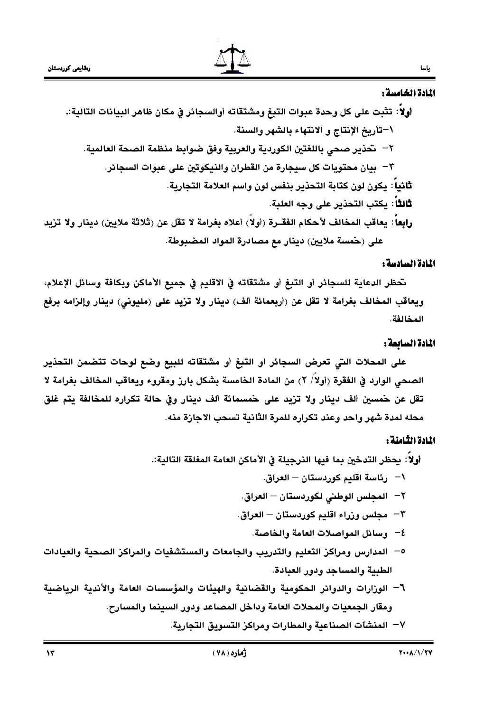#### المادة الخامسة :

#### المادة السادسة :

نحظر الدعاية للسجائر أو التبغ أو مشتقاته في الاقليم في جميع الأماكن وبكافة وسائل الإعلام، ويعاقب المخالف بغرامة لا تقل عن (أربعمائة ألف) دينار ولا تزيد على (مليوني) دينار وإلزامه برفع المخالفة.

#### المادة السابعة :

على المحلات التي تعرض السجائر او التبغ أو مشتقاته للبيع وضع لوحات تتضمن التحذير الصحى الوارد في الفقرة (أولاً/ ٢) من المادة الخامسة بِشكل بارز ومقروء ويعاقب المخالف بغرامة لا تقل عن حمسين ألف دينار ولا تزيد على حمسمائة ألف دينار وفي حالة تكراره للمخالفة يتم غلق محله لمدة شهر واحد وعند تكراره للمرة الثانية تسحب الاجازة منه.

## المادة الثامنة :

٧– المنشآت الصناعية والمطارات ومراكز التسويق التجارية.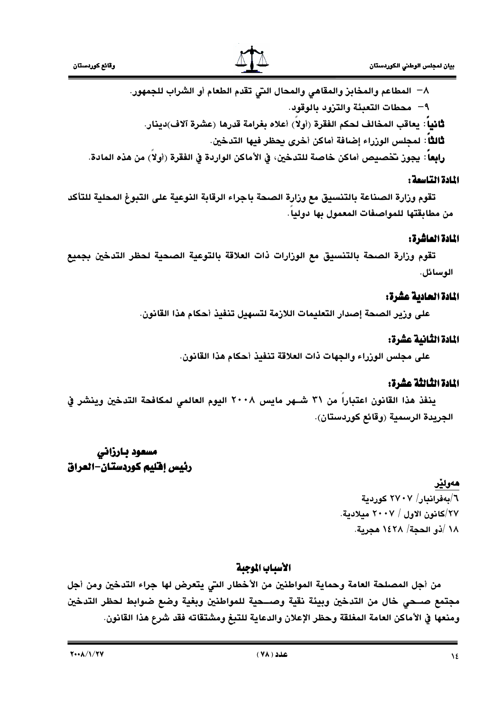



٨− المطاعم والمخابِرْ والمقاهي والمحال التي تقدم الطعام أو الشراب للجمهور.

٩– محطات التعبئة والتزود بالوقود.

ثانياً : يعاقب المخالف لحكم الفقرة (أولا) أعلاه بغرامة قدرها (عشرة آلاف)دينار.

ثالثًا: لمجلس الورراء إضافة أماكن أخرى يحظر فيها التدخين.

رابِعا : يجوز تخصيص أماكن خاصة للتدخين، في الأماكن الواردة في الفقرة (أولا) من هذه المادة.

## المادة التاسمة :

تقوم وزارة الصناعة بالتنسيق مع وزارة الصحة باجراء الرقابة النوعية على التبوغ المحلية للتأكد من مطابقتها للمواصفات المعمول بها دوليا.

## المادة العاشرة:

تقوم وزارة الصحة بالتنسيق مع الوزارات ذات العلاقة بالتوعية الصحية لحظر التدخين بجميع الوسائل.

## المادة الحادية عشرة:

على وزير الصحة إصدار التعليمات اللازمة لتسهيل تنفيذ أحكام هذا القانون.

# المادة الثانية عشرة:

على مجلس الوزراء والجهات ذات العلاقة تنفيذ أحكام هذا القانون.

## المادة الثالثة عشرة:

ينفذ هذا القانون اعتباراً من ٣١ شـهر مايس ٢٠٠٨ اليوم العالمي لمكافحة التدخين وينشر في الجريدة الرسمية (وقائع كوردستان).

# مسعود بارزاني رئيس إفليم كوردستان-العراق

# هەولپر

٦/بەفرانبار/ ٢٧٠٧ كوردية ٢٧/كانون الاول / ٢٠٠٧ مىلادىة. ١٨ /ذو الحجة/ ١٤٢٨ هجرية.

# الأسباب الموجبة

من أجل المصلحة العامة وحماية المواطنين من الأخطار التي يتعرض لها جراء التدخين ومن أجل مجتمع صــحى خال من التدخين وبيئة نقية وصــحية للمواطنين وبغية وضع ضوابط لحظر التدخين ومنعها في الأماكن العامة المغلقة وحظر الإعلان والدعاية للتبغ ومشتقاته فقد شرع هذا القانون.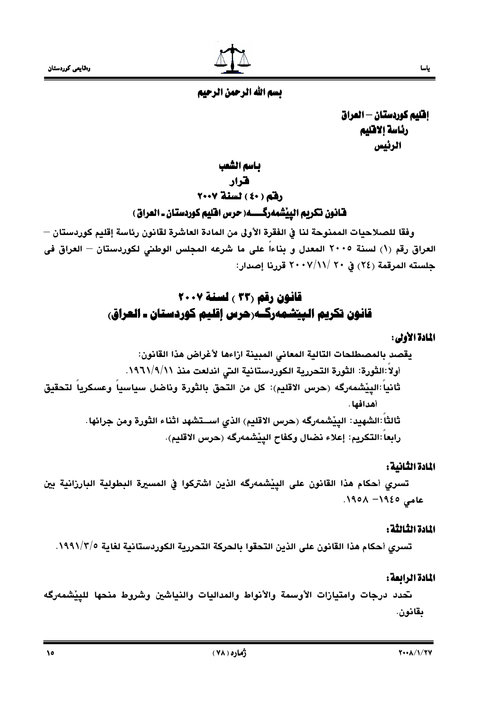

إفليم كوردستان — العراق رئاسة إلاقليم الرئيس

باسم الشعب

## هرار

# رفق (٤٠) لسنة ٢٠٠٧

# قانون تكريم الييْشمەرگـــــه( حرس افليم كوردستان ـ العراق )

وفقًا للصلاحيات الممنوحة لنا في الفقرة الأولى من المادة العاشرة لقانون رئاسة إقليم كوردستان — العراق رقم (١) لسنة ٢٠٠٥ المعدل و بناءاً على ما شرعه المجلس الوطني لكوردستان — العراق في جلسته المرقمة (٢٤) في ٢٠ /١١// ٢٠٠٧ قررنا إصدار:

# قانون رقم (٣٣ ) لسنة ٢٠٠٧ قانون تكريم الييتشمەركـەرحرس إقليم كوردستان ـ العراق،

# المادة الأولى:

# المادة الثانية:

تسرى أحكام هذا القانون على الييْشمەرگه الذين اشتركوا في المسيرة البطولية البارزانية بين عامی ١٩٤٥ / ١٩٥٨.

## المادة الثالثة :

تسرى أحكام هذا القانون على الذين التحقوا بالحركة التحررية الكوردستانية لغاية ١٩٩١/٣/٥.

# المادة الرائعة :

تحدد درجات وامتيازات الأوسمة والأنواط والمداليات والنياشين وشروط منحها للييشمەرگه بقانون.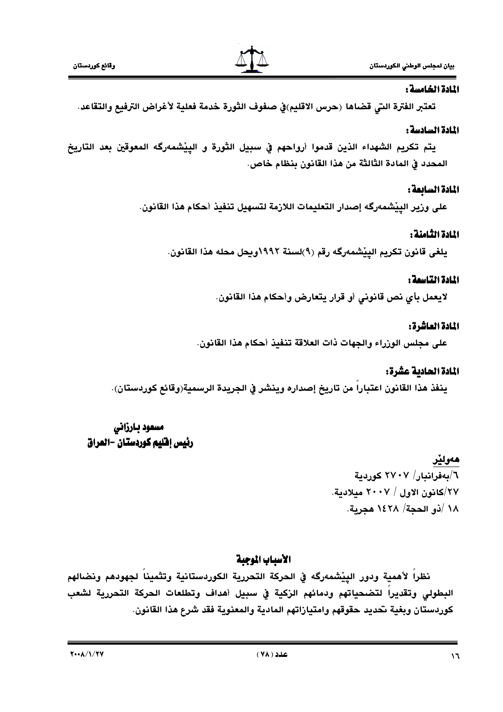

# المادة الخامسة :

تعتبر الفترة التي قضاها (حرس الاقليم)في صفوف الثورة خدمة فعلية لأغراض الترفيع والتقاعد.

# المادة السادسة :

يتم تكريم الشهداء الذين قدموا أرواحهم في سبيل الثورة و الييْشمەرگه المعوقين بعد التاريخ المحدد في المادة الثَّالثة من هذا القانون بِنظام خاص.

# المادة السائعة:

على ورير الييْشْمەرگە إصدار التعليمات اللارْمة لتسهيل تنفيذ أحكام هذا القانون.

# المادة الثامنة :

يلغي قانون تكريم الييْشمەرگە رقم (٩)لسنة ١٩٩٢ويجل محله هذا القانون.

# المادة التاسمة :

لايعمل بأي نص قانوني أو قرار يتعارض وأحكام هذا القانون.

# المادة العاشرة:

على مجلس الوزراء والجهات ذات العلاقة تنفيذ أحكام هذا القانون.

# المادة الحادية عشرة:

ينفذ هذا القانون اعتباراً من تاريخ إصداره وينشر في الجريدة الرسمية(وقائع كوردستان).

# مسعود بارزانی رئيس إفليم كوردستان -العراق

# هەولپْر

٦/بەفراندار/ ٢٧٠٧ كوردية ٢٧/كانون الاول / ٢٠٠٧ ميلادية. ١٨ /ذو الحجة/ ١٤٢٨ هجرية.

# الأسياب الموجية

نظراً لأهمية ودور الييْشمەرگە في الحركة التحررية الكوردستانية وتثميناً لجهودهم ونضالهم البطولى وتقديراً لتضحياتهم ودمائهم الزكية في سبيل أهداف وتطلعات الحركة التحررية لشعب كوردستان وبغية تحديد حقوقهم وامتيازاتهم المادية والمعنوية فقد شرع هذا القانون.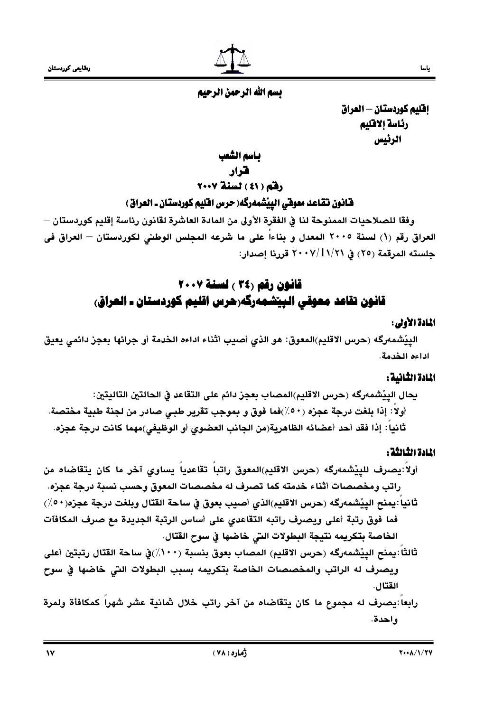

# تسم الله الرحمن الرحيم

إفليم كوردستان - العراق رئاسة إلاقليم الرئيس

باسم الشعب

هرار

رفق ( ٤١ ) لسنة ٢٠٠٧

# قانون تقاعد معوقي الييْشمەرگە( حرس اقليم كوردستان ـ العراق )

وفقًا للصلاحيات الممنوحة لنا في الفقرة الأولى من المادة العاشرة لقانون رئاسة إقليم كوردستان — العراق رقم (١) لسنة ٢٠٠٥ المعدل و بناءاً على ما شرعه المجلس الوطني لكوردستان — العراق فى جلسته المرقمة (٢٥) في ٢٠٠٧/1١/٢١ قررنا إصدار:

# قانون رقم (٣٤ ) لسنة ٢٠٠٧ قانون تقاعد معوقي الييشمەرگەرحرس اقليم كوردستان ـ العراق،

#### المادة الأولى:

الييْشْمەرگە (حرس الاقليم)المعوق: هو الذي أصيب أثناء اداءه الخدمة أو جرائها بعجز دائمي يعيق اداءه الخدمة.

#### المادة الثانية :

يجال الييْشمەرگە (حرس الاقليم)المصاب بعجز دائم على التقاعد في الحالتين التاليتين: أولا: إذا بلغت درجة عجزه (٥٠/)فما فوق و بموجب تقرير طبي صادر من لجنة طبية مختصة. ثانيا : إذا فقد أحد أعضائه الظاهرية(من الجانب العضوى أو الوظيفي)مهما كانت درجة عجزه.

# المادة الثالثة :

أولاً:يصرف للييْشمەرگە (حرس الاقليم)المعوق راتباً تقاعدياً يساوى آخر ما كان يتقاضاه من راتب ومخصصات أثناء خدمته كما تصرف له مخصصات المعوق وحسب نسبة درجة عجزه. ثانياً :يمنح الييْشمەرگە (حرس الاقليم)الذي أصيب بعوق في ساحة القتال وبلغت درجة عجزه(٥٠/٠) فما فوق رتبة أعلى ويصرف راتبه التقاعدي على أساس الرتبة الجديدة مع صرف المكافآت الخاصة بتكريمه نتيجة البطولات التي خاضها في سوح القتال.

- ثالثاً :يمنح الييْشمەرگە (حرس الاقليم) المصاب بعوق بنسبة (١٠٠٪)في ساحة القتال رتبتين أعلى ويصرف له الراتب والمخصصات الخاصة بتكريمه بسبب البطولات التي خاضها في سوح القتال.
- رابعا يصرف له مجموع ما كان يتقاضاه من آخر راتب خلال شانية عشر شهراً كمكافأة ولمرة واحدة.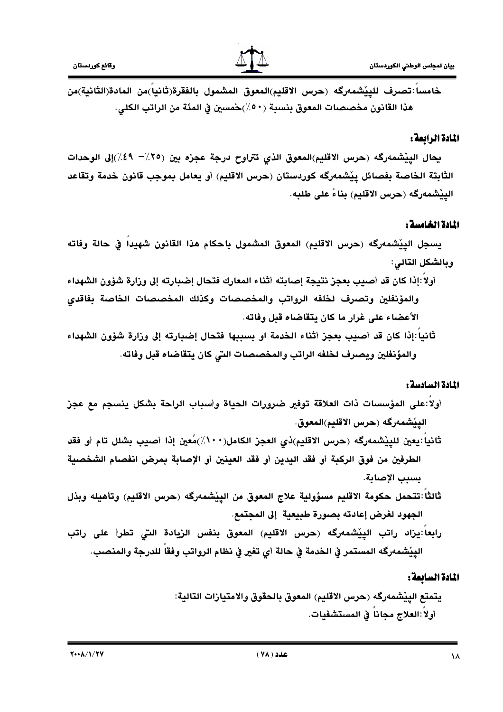

خامسا :تصرف للييْشمەرگە (حرس الاقليم)المعوق المشمول بالفقرة(ثانيا)من المادة(الثانية)من هذا القانون مخصصات المعوق بنسبة (٥٠/)حمسين في المئة من الراتب الكلي.

## المادة الرابعة:

يحال الييْشمەرگە (حرس الاقليم)المعوق الذي تتراوح درجة عجزه بين (٢٥٪– ٤٩٪)إلى الوحدات الثابتة الخاصة بفصائل ييْشمەرگە كوردستان (حرس الاقليم) أو يعامل بموجب قانون خدمة وتقاعد الييْشْمەرگە (حرس الاقليم) بِناءً على طلبِه.

## المادة الخامسة :

يسجل الييْشمەرگە (حرس الاقليم) المعوق المشمول باحكام هذا القانون شهيدا في حالة وفاته وبالشكل التالي:

- أولا:إذا كان قد أصيب بعجز نتيجة إصابته أثناء المعارك فتحال إضبارته إلى وزارة شؤون الشهداء والمؤنفلين وتصرف لخلفه الرواتب والمخصصات وكذلك المخصصات الخاصة بفاقدى الأعضاء على غرار ما كان يتقاضاه قبل وفاته.
- ثانيا :إذا كان قد أصيب بعجز أثناء الخدمة او بسببها فتحال إضبارته إلى وزارة شؤون الشهداء والمؤنفلين ويصرف لخلفه الراتب والمخصصات التى كان يتقاضاه قبل وفاته.

## المادة السادسة :

- أولا:على المؤسسات ذات العلاقة توفير ضرورات الحياة وأسباب الراحة بشكل ينسجم مع عجز الييْشْمەرگە (حرس الاقليم)المعوق.
- ثانيا :يعين للييْشمەرگە (حرس الاقليم)ذي العجز الكامل(١٠٠٪)مُعين إذا أصيب بشلل تام أو فقد الطرفين من فوق الركبة أو فقد اليدين أو فقد العينين أو الإصابة بمرض انفصام الشخصية بسيب الإصابة.
- ثالثاً :تتحمل حكومة الاقليم مسؤولية علاج المعوق من الييْشمەرگە (حرس الاقليم) وتأهيله وبذل الجهود لغرض إعادته بصورة طبيعية إلى المجتمع.
- رابعا يزاد راتب الييْشمەرگە (حرس الاقليم) المعوق بنفس الزيادة التي تطرأ على راتب الييْشْمەرگە المستمر في الخدمة في حالة أي تغير في نظام الرواتب وفقا للدرجة والمنصب.

# المادة السائعة :

يتمتع الييْشمەرگە (حرس الاقليم) المعوق بالحقوق والامتيازات التالية: أولا:العلاج مجانا في المستشفيات.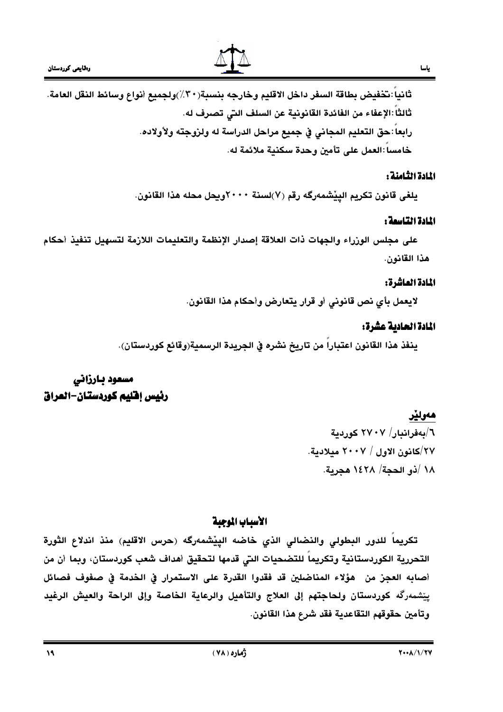

خامسا :العمل على تأمين وحدة سكنية ملائمة له.

## المادة الثامنة :

يلغي قانون تكريم الييْشمەرگە رقم (٧)لسنة ٢٠٠٠ويحل محله هذا القانون.

## المادة التاسمة :

على مجلس الوزراء والجهات ذات العلاقة إصدار الإنظمة والتعليمات اللازمة لتسهيل تنفيذ أحكام هذا القانون.

# المادة الماشرة:

لايعمل بأي نص قانوني أو قرار يتعارض وأحكام هذا القانون.

## المادة الحادية عشرة:

ينفذ هذا القانون اعتباراً من تاريخ نشره في الجريدة الرسمية(وقائع كوردستان).

# مسعود بارزاني رئيس إفليم كوردستان–العراق

# هەولێر ٦/بەفرانبار/ ٢٧٠٧ كوردية ٢٧/كانون الاول / ٢٠٠٧ ميلادية. ١٨ /ذو الحجة/ ١٤٢٨ هجرية.

# الأسباب الموجبة

تكريماً للدور البطولي والنضالي الذي خاضه الييْشمەرگە (حرس الاقليم) منذ اندلاع الثورة التحررية الكوردستانية وتكريما للتضحيات التي قدمها لتحقيق أهداف شعب كوردستان، وبما أن من أصابه العجز من هؤلاء المناضلين قد فقدوا القدرة على الاستمرار في الخدمة في صفوف فصائل يِيْشمەرگە كوردستان ولحاجتهم إلى العلاج والتأهيل والرعاية الخاصة وإلى الراحة والعيش الرغيد وتأمين حقوقهم التقاعدية فقد شرع هذا القانون.